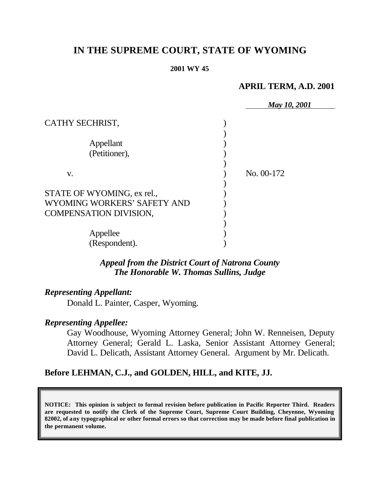# **IN THE SUPREME COURT, STATE OF WYOMING**

#### **2001 WY 45**

## **APRIL TERM, A.D. 2001**

|                               | May 10, 2001 |
|-------------------------------|--------------|
| CATHY SECHRIST,               |              |
|                               |              |
| Appellant                     |              |
| (Petitioner),                 |              |
|                               |              |
| V.                            | No. 00-172   |
|                               |              |
| STATE OF WYOMING, ex rel.,    |              |
| WYOMING WORKERS' SAFETY AND   |              |
| <b>COMPENSATION DIVISION,</b> |              |
|                               |              |
| Appellee                      |              |
| (Respondent).                 |              |

# *Appeal from the District Court of Natrona County The Honorable W. Thomas Sullins, Judge*

### *Representing Appellant:*

Donald L. Painter, Casper, Wyoming.

# *Representing Appellee:*

Gay Woodhouse, Wyoming Attorney General; John W. Renneisen, Deputy Attorney General; Gerald L. Laska, Senior Assistant Attorney General; David L. Delicath, Assistant Attorney General. Argument by Mr. Delicath.

## **Before LEHMAN, C.J., and GOLDEN, HILL, and KITE, JJ.**

**NOTICE: This opinion is subject to formal revision before publication in Pacific Reporter Third. Readers are requested to notify the Clerk of the Supreme Court, Supreme Court Building, Cheyenne, Wyoming 82002, of any typographical or other formal errors so that correction may be made before final publication in the permanent volume.**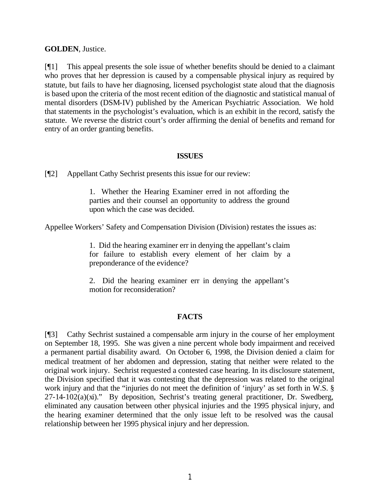#### **GOLDEN**, Justice.

[¶1] This appeal presents the sole issue of whether benefits should be denied to a claimant who proves that her depression is caused by a compensable physical injury as required by statute, but fails to have her diagnosing, licensed psychologist state aloud that the diagnosis is based upon the criteria of the most recent edition of the diagnostic and statistical manual of mental disorders (DSM-IV) published by the American Psychiatric Association. We hold that statements in the psychologist's evaluation, which is an exhibit in the record, satisfy the statute. We reverse the district court's order affirming the denial of benefits and remand for entry of an order granting benefits.

#### **ISSUES**

[¶2] Appellant Cathy Sechrist presents this issue for our review:

1. Whether the Hearing Examiner erred in not affording the parties and their counsel an opportunity to address the ground upon which the case was decided.

Appellee Workers' Safety and Compensation Division (Division) restates the issues as:

1. Did the hearing examiner err in denying the appellant's claim for failure to establish every element of her claim by a preponderance of the evidence?

2. Did the hearing examiner err in denying the appellant's motion for reconsideration?

### **FACTS**

[¶3] Cathy Sechrist sustained a compensable arm injury in the course of her employment on September 18, 1995. She was given a nine percent whole body impairment and received a permanent partial disability award. On October 6, 1998, the Division denied a claim for medical treatment of her abdomen and depression, stating that neither were related to the original work injury. Sechrist requested a contested case hearing. In its disclosure statement, the Division specified that it was contesting that the depression was related to the original work injury and that the "injuries do not meet the definition of 'injury' as set forth in W.S. § 27-14-102(a)(xi)." By deposition, Sechrist's treating general practitioner, Dr. Swedberg, eliminated any causation between other physical injuries and the 1995 physical injury, and the hearing examiner determined that the only issue left to be resolved was the causal relationship between her 1995 physical injury and her depression.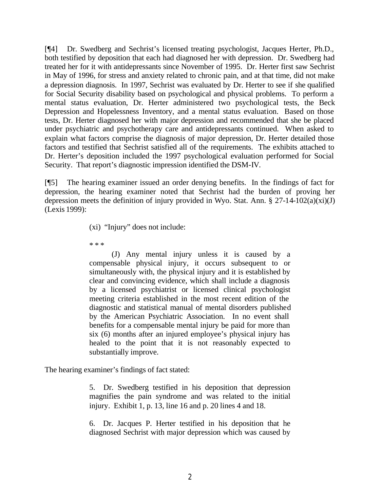[¶4] Dr. Swedberg and Sechrist's licensed treating psychologist, Jacques Herter, Ph.D., both testified by deposition that each had diagnosed her with depression. Dr. Swedberg had treated her for it with antidepressants since November of 1995. Dr. Herter first saw Sechrist in May of 1996, for stress and anxiety related to chronic pain, and at that time, did not make a depression diagnosis. In 1997, Sechrist was evaluated by Dr. Herter to see if she qualified for Social Security disability based on psychological and physical problems. To perform a mental status evaluation, Dr. Herter administered two psychological tests, the Beck Depression and Hopelessness Inventory, and a mental status evaluation. Based on those tests, Dr. Herter diagnosed her with major depression and recommended that she be placed under psychiatric and psychotherapy care and antidepressants continued. When asked to explain what factors comprise the diagnosis of major depression, Dr. Herter detailed those factors and testified that Sechrist satisfied all of the requirements. The exhibits attached to Dr. Herter's deposition included the 1997 psychological evaluation performed for Social Security. That report's diagnostic impression identified the DSM-IV.

[¶5] The hearing examiner issued an order denying benefits. In the findings of fact for depression, the hearing examiner noted that Sechrist had the burden of proving her depression meets the definition of injury provided in Wyo. Stat. Ann.  $\S 27-14-102(a)(xi)(J)$ (Lexis 1999):

(xi) "Injury" does not include:

\* \* \*

(J) Any mental injury unless it is caused by a compensable physical injury, it occurs subsequent to or simultaneously with, the physical injury and it is established by clear and convincing evidence, which shall include a diagnosis by a licensed psychiatrist or licensed clinical psychologist meeting criteria established in the most recent edition of the diagnostic and statistical manual of mental disorders published by the American Psychiatric Association. In no event shall benefits for a compensable mental injury be paid for more than six (6) months after an injured employee's physical injury has healed to the point that it is not reasonably expected to substantially improve.

The hearing examiner's findings of fact stated:

5. Dr. Swedberg testified in his deposition that depression magnifies the pain syndrome and was related to the initial injury. Exhibit 1, p. 13, line 16 and p. 20 lines 4 and 18.

6. Dr. Jacques P. Herter testified in his deposition that he diagnosed Sechrist with major depression which was caused by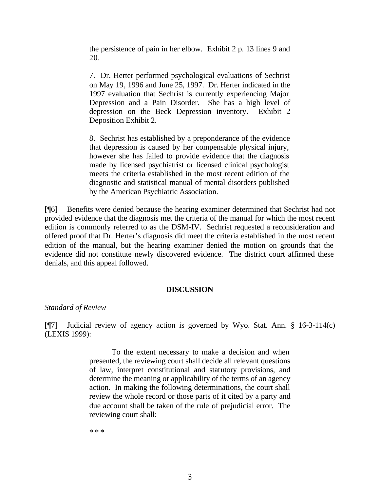the persistence of pain in her elbow. Exhibit 2 p. 13 lines 9 and 20.

7. Dr. Herter performed psychological evaluations of Sechrist on May 19, 1996 and June 25, 1997. Dr. Herter indicated in the 1997 evaluation that Sechrist is currently experiencing Major Depression and a Pain Disorder. She has a high level of depression on the Beck Depression inventory. Exhibit 2 Deposition Exhibit 2.

8. Sechrist has established by a preponderance of the evidence that depression is caused by her compensable physical injury, however she has failed to provide evidence that the diagnosis made by licensed psychiatrist or licensed clinical psychologist meets the criteria established in the most recent edition of the diagnostic and statistical manual of mental disorders published by the American Psychiatric Association.

[¶6] Benefits were denied because the hearing examiner determined that Sechrist had not provided evidence that the diagnosis met the criteria of the manual for which the most recent edition is commonly referred to as the DSM-IV. Sechrist requested a reconsideration and offered proof that Dr. Herter's diagnosis did meet the criteria established in the most recent edition of the manual, but the hearing examiner denied the motion on grounds that the evidence did not constitute newly discovered evidence. The district court affirmed these denials, and this appeal followed.

#### **DISCUSSION**

#### *Standard of Review*

[¶7] Judicial review of agency action is governed by Wyo. Stat. Ann. § 16-3-114(c) (LEXIS 1999):

> To the extent necessary to make a decision and when presented, the reviewing court shall decide all relevant questions of law, interpret constitutional and statutory provisions, and determine the meaning or applicability of the terms of an agency action. In making the following determinations, the court shall review the whole record or those parts of it cited by a party and due account shall be taken of the rule of prejudicial error. The reviewing court shall:

\* \* \*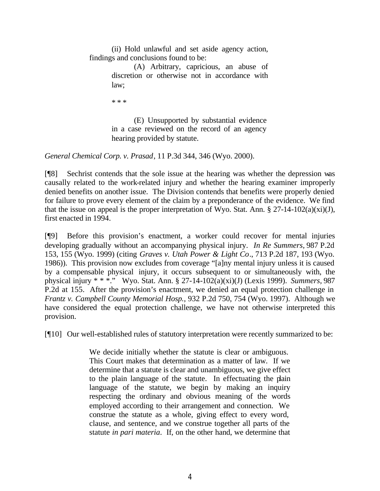(ii) Hold unlawful and set aside agency action, findings and conclusions found to be:

> (A) Arbitrary, capricious, an abuse of discretion or otherwise not in accordance with law;

\* \* \*

(E) Unsupported by substantial evidence in a case reviewed on the record of an agency hearing provided by statute.

*General Chemical Corp. v. Prasad*, 11 P.3d 344, 346 (Wyo. 2000).

[¶8] Sechrist contends that the sole issue at the hearing was whether the depression was causally related to the work-related injury and whether the hearing examiner improperly denied benefits on another issue. The Division contends that benefits were properly denied for failure to prove every element of the claim by a preponderance of the evidence. We find that the issue on appeal is the proper interpretation of Wyo. Stat. Ann.  $\S 27$ -14-102(a)(xi)(J), first enacted in 1994.

[¶9] Before this provision's enactment, a worker could recover for mental injuries developing gradually without an accompanying physical injury. *In Re Summers,* 987 P.2d 153, 155 (Wyo. 1999) (citing *Graves v. Utah Power & Light Co*., 713 P.2d 187, 193 (Wyo. 1986)). This provision now excludes from coverage "[a]ny mental injury unless it is caused by a compensable physical injury, it occurs subsequent to or simultaneously with, the physical injury \* \* \*." Wyo. Stat. Ann. § 27-14-102(a)(xi)(J) (Lexis 1999). *Summers,* 987 P.2d at 155.After the provision's enactment, we denied an equal protection challenge in *Frantz v. Campbell County Memorial Hosp.,* 932 P.2d 750, 754 (Wyo. 1997). Although we have considered the equal protection challenge, we have not otherwise interpreted this provision.

[¶10] Our well-established rules of statutory interpretation were recently summarized to be:

We decide initially whether the statute is clear or ambiguous. This Court makes that determination as a matter of law. If we determine that a statute is clear and unambiguous, we give effect to the plain language of the statute. In effectuating the plain language of the statute, we begin by making an inquiry respecting the ordinary and obvious meaning of the words employed according to their arrangement and connection. We construe the statute as a whole, giving effect to every word, clause, and sentence, and we construe together all parts of the statute *in pari materia*. If, on the other hand, we determine that